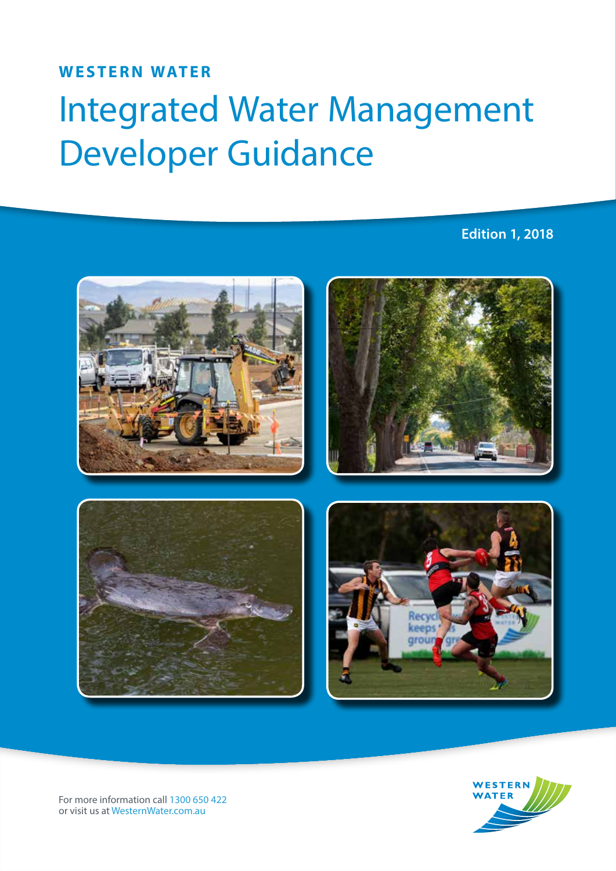#### **WEST** Whole-of-water-cycle Strategy **WESTERN WATER**

# Integrated Water Management Developer Guidance

**Edition 1, 2018**





For more information call 1300 650 422 or visit us at WesternWater.com.au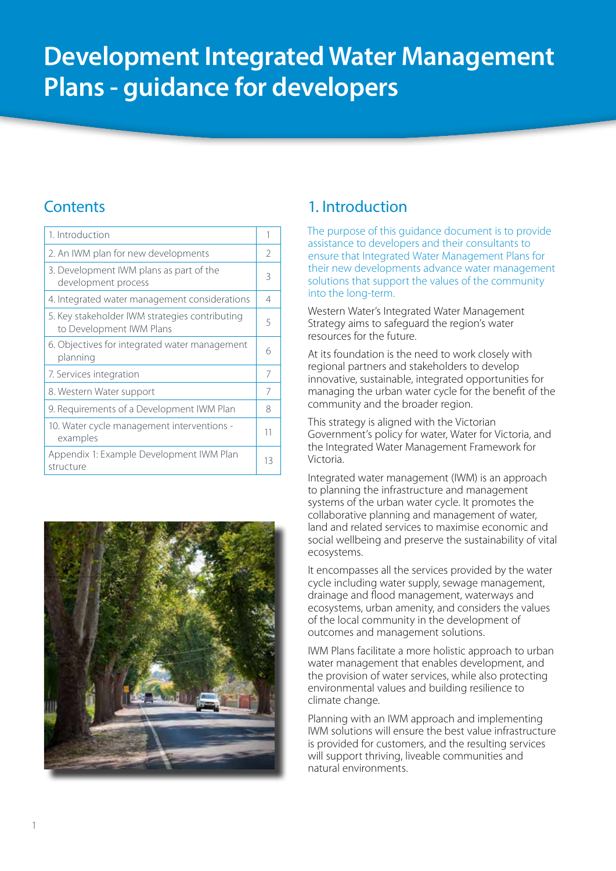# **Development Integrated Water Management Plans - guidance for developers**

| 1. Introduction                                                            | 1  |
|----------------------------------------------------------------------------|----|
| 2. An IWM plan for new developments                                        | 2  |
| 3. Development IWM plans as part of the<br>development process             | Β  |
| 4. Integrated water management considerations                              | 4  |
| 5. Key stakeholder IWM strategies contributing<br>to Development IWM Plans | 5  |
| 6. Objectives for integrated water management<br>planning                  | 6  |
| 7. Services integration                                                    | 7  |
| 8. Western Water support                                                   | 7  |
| 9. Requirements of a Development IWM Plan                                  | 8  |
| 10. Water cycle management interventions -<br>examples                     | 11 |
| Appendix 1: Example Development IWM Plan<br>structure                      | 13 |
|                                                                            |    |



# Contents **1.** Introduction

The purpose of this guidance document is to provide assistance to developers and their consultants to ensure that Integrated Water Management Plans for their new developments advance water management solutions that support the values of the community into the long-term.

Western Water's Integrated Water Management Strategy aims to safeguard the region's water resources for the future.

At its foundation is the need to work closely with regional partners and stakeholders to develop innovative, sustainable, integrated opportunities for managing the urban water cycle for the benefit of the community and the broader region.

This strategy is aligned with the Victorian Government's policy for water, Water for Victoria, and the Integrated Water Management Framework for Victoria.

Integrated water management (IWM) is an approach to planning the infrastructure and management systems of the urban water cycle. It promotes the collaborative planning and management of water, land and related services to maximise economic and social wellbeing and preserve the sustainability of vital ecosystems.

It encompasses all the services provided by the water cycle including water supply, sewage management, drainage and flood management, waterways and ecosystems, urban amenity, and considers the values of the local community in the development of outcomes and management solutions.

IWM Plans facilitate a more holistic approach to urban water management that enables development, and the provision of water services, while also protecting environmental values and building resilience to climate change.

Planning with an IWM approach and implementing IWM solutions will ensure the best value infrastructure is provided for customers, and the resulting services will support thriving, liveable communities and natural environments.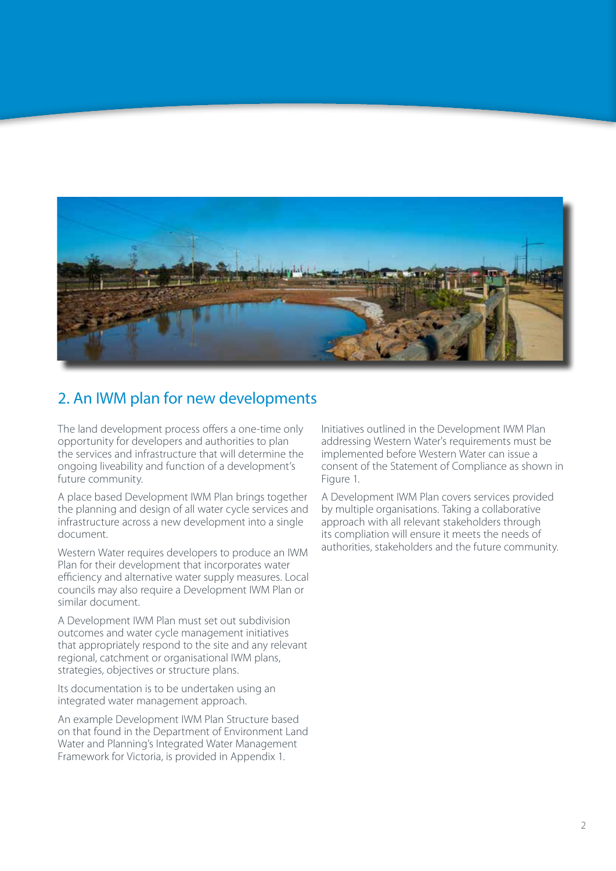

#### 2. An IWM plan for new developments

The land development process offers a one-time only opportunity for developers and authorities to plan the services and infrastructure that will determine the ongoing liveability and function of a development's future community.

A place based Development IWM Plan brings together the planning and design of all water cycle services and infrastructure across a new development into a single document.

Western Water requires developers to produce an IWM Plan for their development that incorporates water efficiency and alternative water supply measures. Local councils may also require a Development IWM Plan or similar document.

A Development IWM Plan must set out subdivision outcomes and water cycle management initiatives that appropriately respond to the site and any relevant regional, catchment or organisational IWM plans, strategies, objectives or structure plans.

Its documentation is to be undertaken using an integrated water management approach.

An example Development IWM Plan Structure based on that found in the Department of Environment Land Water and Planning's Integrated Water Management Framework for Victoria, is provided in Appendix 1.

Initiatives outlined in the Development IWM Plan addressing Western Water's requirements must be implemented before Western Water can issue a consent of the Statement of Compliance as shown in Figure 1.

A Development IWM Plan covers services provided by multiple organisations. Taking a collaborative approach with all relevant stakeholders through its compliation will ensure it meets the needs of authorities, stakeholders and the future community.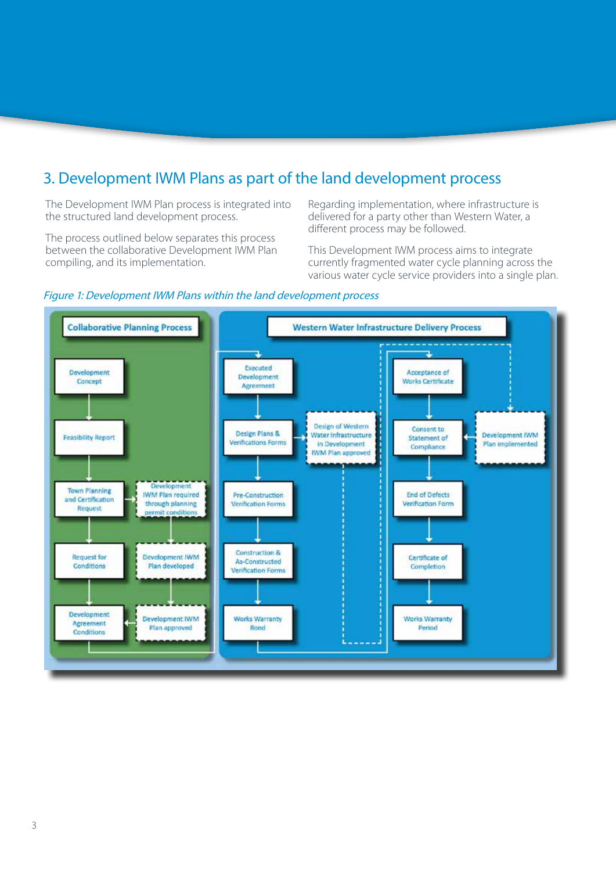## 3. Development IWM Plans as part of the land development process

The Development IWM Plan process is integrated into the structured land development process.

The process outlined below separates this process between the collaborative Development IWM Plan compiling, and its implementation.

Regarding implementation, where infrastructure is delivered for a party other than Western Water, a different process may be followed.

This Development IWM process aims to integrate currently fragmented water cycle planning across the various water cycle service providers into a single plan.



#### Figure 1: Development IWM Plans within the land development process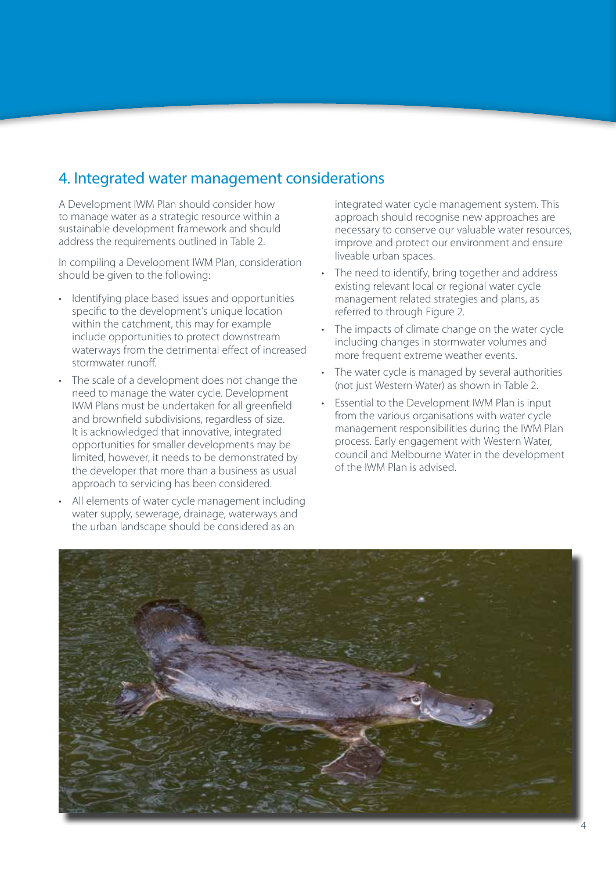## 4. Integrated water management considerations

A Development IWM Plan should consider how to manage water as a strategic resource within a sustainable development framework and should address the requirements outlined in Table 2.

In compiling a Development IWM Plan, consideration should be given to the following:

- Identifying place based issues and opportunities specific to the development's unique location within the catchment, this may for example include opportunities to protect downstream waterways from the detrimental effect of increased stormwater runoff.
- The scale of a development does not change the need to manage the water cycle. Development IWM Plans must be undertaken for all greenfield and brownfield subdivisions, regardless of size. It is acknowledged that innovative, integrated opportunities for smaller developments may be limited, however, it needs to be demonstrated by the developer that more than a business as usual approach to servicing has been considered.
- All elements of water cycle management including water supply, sewerage, drainage, waterways and the urban landscape should be considered as an

integrated water cycle management system. This approach should recognise new approaches are necessary to conserve our valuable water resources, improve and protect our environment and ensure liveable urban spaces.

- The need to identify, bring together and address existing relevant local or regional water cycle management related strategies and plans, as referred to through Figure 2.
- The impacts of climate change on the water cycle including changes in stormwater volumes and more frequent extreme weather events.
- The water cycle is managed by several authorities (not just Western Water) as shown in Table 2.
- Essential to the Development IWM Plan is input from the various organisations with water cycle management responsibilities during the IWM Plan process. Early engagement with Western Water, council and Melbourne Water in the development of the IWM Plan is advised.

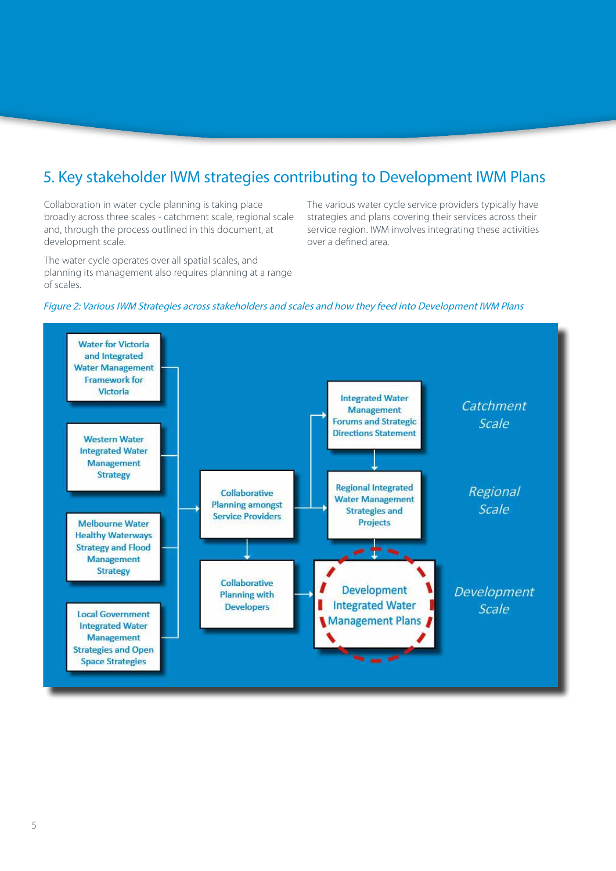# 5. Key stakeholder IWM strategies contributing to Development IWM Plans

Collaboration in water cycle planning is taking place broadly across three scales - catchment scale, regional scale and, through the process outlined in this document, at development scale.

The various water cycle service providers typically have strategies and plans covering their services across their service region. IWM involves integrating these activities over a defined area.

The water cycle operates over all spatial scales, and planning its management also requires planning at a range of scales.



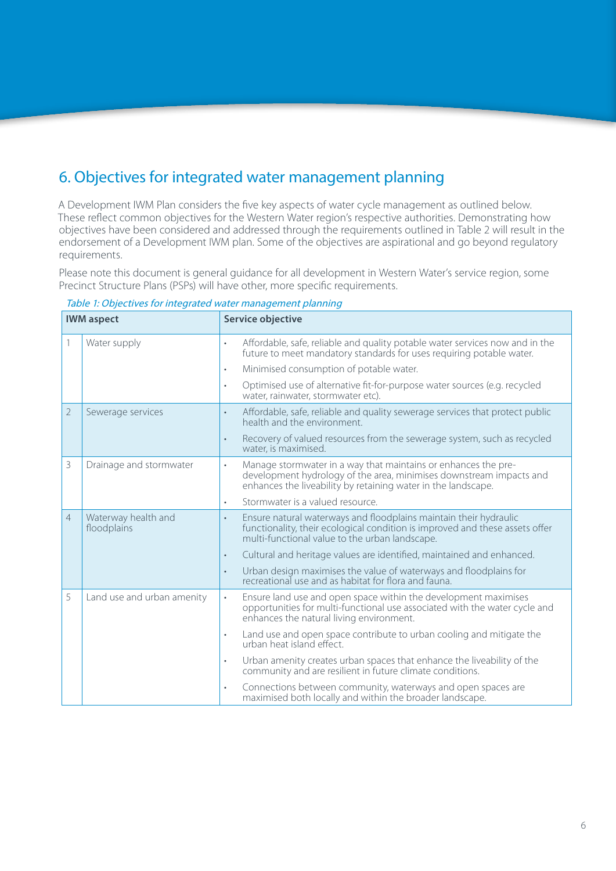# 6. Objectives for integrated water management planning

A Development IWM Plan considers the five key aspects of water cycle management as outlined below. These reflect common objectives for the Western Water region's respective authorities. Demonstrating how objectives have been considered and addressed through the requirements outlined in Table 2 will result in the endorsement of a Development IWM plan. Some of the objectives are aspirational and go beyond regulatory requirements.

Please note this document is general guidance for all development in Western Water's service region, some Precinct Structure Plans (PSPs) will have other, more specific requirements.

| <b>IWM</b> aspect |                                    | Service objective                                                                                                                                                                                                   |  |  |  |
|-------------------|------------------------------------|---------------------------------------------------------------------------------------------------------------------------------------------------------------------------------------------------------------------|--|--|--|
|                   | Water supply                       | Affordable, safe, reliable and quality potable water services now and in the<br>$\bullet$<br>future to meet mandatory standards for uses requiring potable water.                                                   |  |  |  |
|                   |                                    | Minimised consumption of potable water.<br>$\bullet$                                                                                                                                                                |  |  |  |
|                   |                                    | Optimised use of alternative fit-for-purpose water sources (e.g. recycled<br>$\bullet$<br>water, rainwater, stormwater etc).                                                                                        |  |  |  |
| $\overline{2}$    | Sewerage services                  | Affordable, safe, reliable and quality sewerage services that protect public<br>$\bullet$<br>health and the environment.                                                                                            |  |  |  |
|                   |                                    | Recovery of valued resources from the sewerage system, such as recycled<br>$\bullet$<br>water, is maximised.                                                                                                        |  |  |  |
| 3                 | Drainage and stormwater            | Manage stormwater in a way that maintains or enhances the pre-<br>$\bullet$<br>development hydrology of the area, minimises downstream impacts and<br>enhances the liveability by retaining water in the landscape. |  |  |  |
|                   |                                    | Stormwater is a valued resource.<br>$\bullet$                                                                                                                                                                       |  |  |  |
| $\overline{4}$    | Waterway health and<br>floodplains | Ensure natural waterways and floodplains maintain their hydraulic<br>$\bullet$<br>functionality, their ecological condition is improved and these assets offer<br>multi-functional value to the urban landscape.    |  |  |  |
|                   |                                    | Cultural and heritage values are identified, maintained and enhanced.<br>$\bullet$                                                                                                                                  |  |  |  |
|                   |                                    | Urban design maximises the value of waterways and floodplains for<br>$\bullet$<br>recreational use and as habitat for flora and fauna.                                                                              |  |  |  |
| 5                 | Land use and urban amenity         | Ensure land use and open space within the development maximises<br>$\bullet$<br>opportunities for multi-functional use associated with the water cycle and<br>enhances the natural living environment.              |  |  |  |
|                   |                                    | Land use and open space contribute to urban cooling and mitigate the<br>$\bullet$<br>urban heat island effect.                                                                                                      |  |  |  |
|                   |                                    | Urban amenity creates urban spaces that enhance the liveability of the<br>$\bullet$<br>community and are resilient in future climate conditions.                                                                    |  |  |  |
|                   |                                    | Connections between community, waterways and open spaces are<br>$\bullet$<br>maximised both locally and within the broader landscape.                                                                               |  |  |  |

#### Table 1: Objectives for integrated water management planning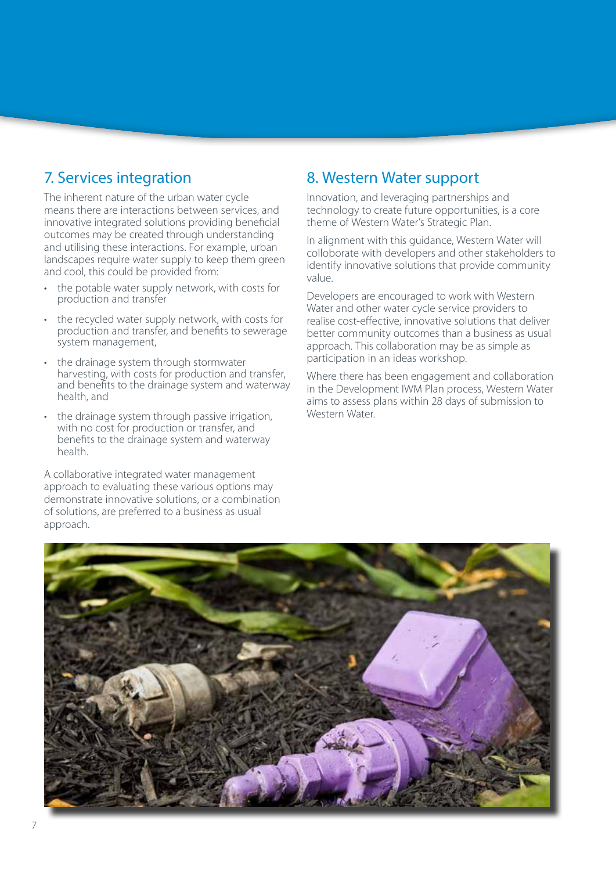## 7. Services integration

The inherent nature of the urban water cycle means there are interactions between services, and innovative integrated solutions providing beneficial outcomes may be created through understanding and utilising these interactions. For example, urban landscapes require water supply to keep them green and cool, this could be provided from:

- the potable water supply network, with costs for production and transfer
- the recycled water supply network, with costs for production and transfer, and benefits to sewerage system management,
- the drainage system through stormwater harvesting, with costs for production and transfer, and benefits to the drainage system and waterway health, and
- the drainage system through passive irrigation, with no cost for production or transfer, and benefits to the drainage system and waterway health.

A collaborative integrated water management approach to evaluating these various options may demonstrate innovative solutions, or a combination of solutions, are preferred to a business as usual approach.

#### 8. Western Water support

Innovation, and leveraging partnerships and technology to create future opportunities, is a core theme of Western Water's Strategic Plan.

In alignment with this guidance, Western Water will colloborate with developers and other stakeholders to identify innovative solutions that provide community value.

Developers are encouraged to work with Western Water and other water cycle service providers to realise cost-effective, innovative solutions that deliver better community outcomes than a business as usual approach. This collaboration may be as simple as participation in an ideas workshop.

Where there has been engagement and collaboration in the Development IWM Plan process, Western Water aims to assess plans within 28 days of submission to Western Water.

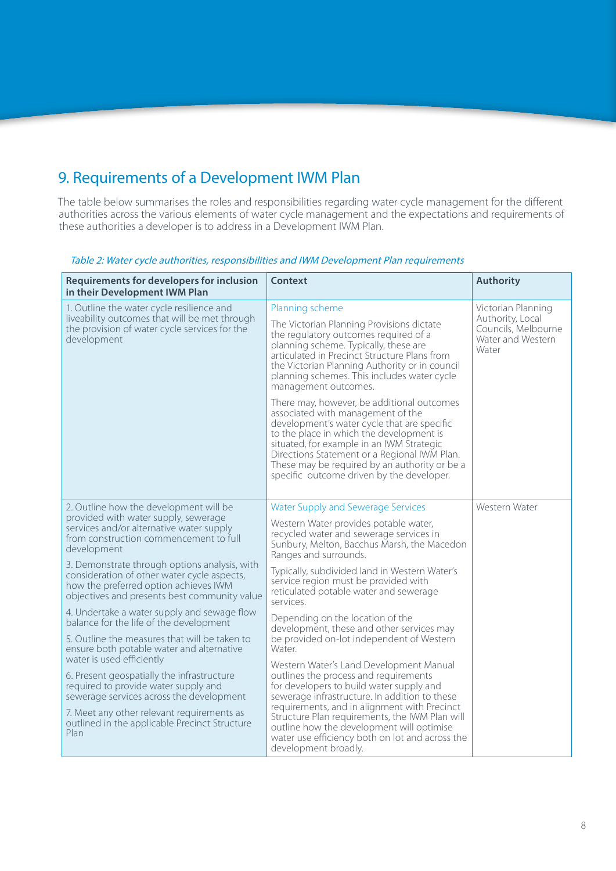# 9. Requirements of a Development IWM Plan

The table below summarises the roles and responsibilities regarding water cycle management for the different authorities across the various elements of water cycle management and the expectations and requirements of these authorities a developer is to address in a Development IWM Plan.

#### **Requirements for developers for inclusion in their Development IWM Plan Context Authority** 1. Outline the water cycle resilience and liveability outcomes that will be met through the provision of water cycle services for the development Planning scheme The Victorian Planning Provisions dictate the regulatory outcomes required of a planning scheme. Typically, these are articulated in Precinct Structure Plans from the Victorian Planning Authority or in council planning schemes. This includes water cycle management outcomes. There may, however, be additional outcomes associated with management of the development's water cycle that are specific to the place in which the development is situated, for example in an IWM Strategic Directions Statement or a Regional IWM Plan. These may be required by an authority or be a specific outcome driven by the developer. Victorian Planning Authority, Local Councils, Melbourne Water and Western Water 2. Outline how the development will be provided with water supply, sewerage services and/or alternative water supply from construction commencement to full development 3. Demonstrate through options analysis, with consideration of other water cycle aspects, how the preferred option achieves IWM objectives and presents best community value 4. Undertake a water supply and sewage flow balance for the life of the development 5. Outline the measures that will be taken to ensure both potable water and alternative water is used efficiently 6. Present geospatially the infrastructure required to provide water supply and sewerage services across the development 7. Meet any other relevant requirements as outlined in the applicable Precinct Structure Plan Water Supply and Sewerage Services Western Water provides potable water, recycled water and sewerage services in Sunbury, Melton, Bacchus Marsh, the Macedon Ranges and surrounds. Typically, subdivided land in Western Water's service region must be provided with reticulated potable water and sewerage services. Depending on the location of the development, these and other services may be provided on-lot independent of Western **Water** Western Water's Land Development Manual outlines the process and requirements for developers to build water supply and sewerage infrastructure. In addition to these requirements, and in alignment with Precinct Structure Plan requirements, the IWM Plan will outline how the development will optimise water use efficiency both on lot and across the development broadly. Western Water

#### Table 2: Water cycle authorities, responsibilities and IWM Development Plan requirements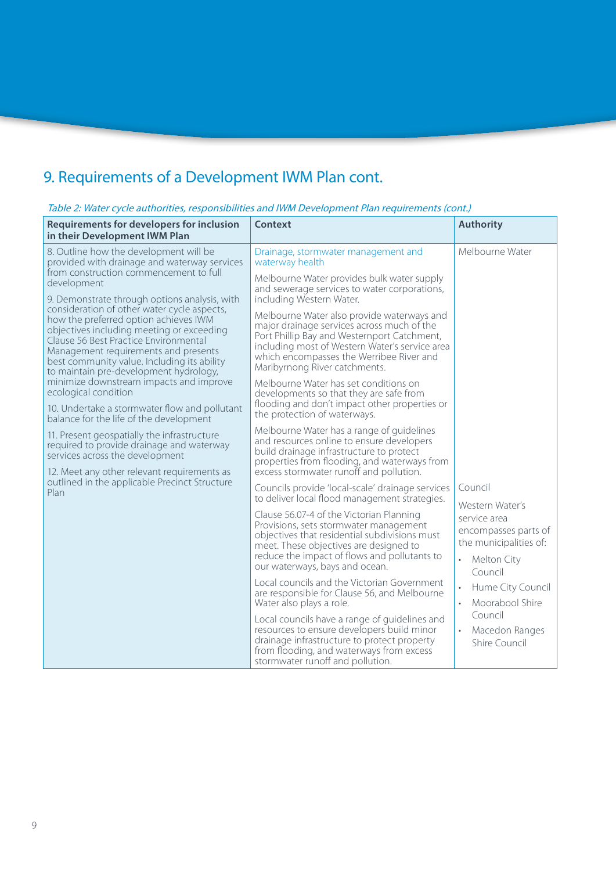# 9. Requirements of a Development IWM Plan cont.

#### Table 2: Water cycle authorities, responsibilities and IWM Development Plan requirements (cont.)

| <b>Requirements for developers for inclusion</b><br>in their Development IWM Plan                                                                                                                                                                                                                                                                            | <b>Context</b>                                                                                                                                                                                                                                                                                     | <b>Authority</b>                                                                                                         |
|--------------------------------------------------------------------------------------------------------------------------------------------------------------------------------------------------------------------------------------------------------------------------------------------------------------------------------------------------------------|----------------------------------------------------------------------------------------------------------------------------------------------------------------------------------------------------------------------------------------------------------------------------------------------------|--------------------------------------------------------------------------------------------------------------------------|
| 8. Outline how the development will be<br>provided with drainage and waterway services                                                                                                                                                                                                                                                                       | Drainage, stormwater management and<br>waterway health                                                                                                                                                                                                                                             | Melbourne Water                                                                                                          |
| from construction commencement to full<br>development                                                                                                                                                                                                                                                                                                        | Melbourne Water provides bulk water supply<br>and sewerage services to water corporations,                                                                                                                                                                                                         |                                                                                                                          |
| 9. Demonstrate through options analysis, with<br>consideration of other water cycle aspects,<br>how the preferred option achieves IWM<br>objectives including meeting or exceeding<br>Clause 56 Best Practice Environmental<br>Management requirements and presents<br>best community value. Including its ability<br>to maintain pre-development hydrology, | including Western Water.<br>Melbourne Water also provide waterways and<br>major drainage services across much of the<br>Port Phillip Bay and Westernport Catchment,<br>including most of Western Water's service area<br>which encompasses the Werribee River and<br>Maribyrnong River catchments. |                                                                                                                          |
| minimize downstream impacts and improve<br>ecological condition<br>10. Undertake a stormwater flow and pollutant                                                                                                                                                                                                                                             | Melbourne Water has set conditions on<br>developments so that they are safe from<br>flooding and don't impact other properties or<br>the protection of waterways.                                                                                                                                  |                                                                                                                          |
| balance for the life of the development<br>11. Present geospatially the infrastructure<br>required to provide drainage and waterway<br>services across the development                                                                                                                                                                                       | Melbourne Water has a range of guidelines<br>and resources online to ensure developers<br>build drainage infrastructure to protect<br>properties from flooding, and waterways from                                                                                                                 |                                                                                                                          |
| 12. Meet any other relevant requirements as<br>outlined in the applicable Precinct Structure<br>Plan                                                                                                                                                                                                                                                         | excess stormwater runoff and pollution.<br>Councils provide 'local-scale' drainage services<br>to deliver local flood management strategies.                                                                                                                                                       | Council                                                                                                                  |
|                                                                                                                                                                                                                                                                                                                                                              | Clause 56.07-4 of the Victorian Planning<br>Provisions, sets stormwater management<br>objectives that residential subdivisions must<br>meet. These objectives are designed to<br>reduce the impact of flows and pollutants to<br>our waterways, bays and ocean.                                    | Western Water's<br>service area<br>encompasses parts of<br>the municipalities of:<br>Melton City<br>$\bullet$<br>Council |
|                                                                                                                                                                                                                                                                                                                                                              | Local councils and the Victorian Government<br>are responsible for Clause 56, and Melbourne<br>Water also plays a role.                                                                                                                                                                            | Hume City Council<br>$\bullet$<br>Moorabool Shire                                                                        |
|                                                                                                                                                                                                                                                                                                                                                              | Local councils have a range of guidelines and<br>resources to ensure developers build minor<br>drainage infrastructure to protect property<br>from flooding, and waterways from excess<br>stormwater runoff and pollution.                                                                         | Council<br>Macedon Ranges<br>$\bullet$<br>Shire Council                                                                  |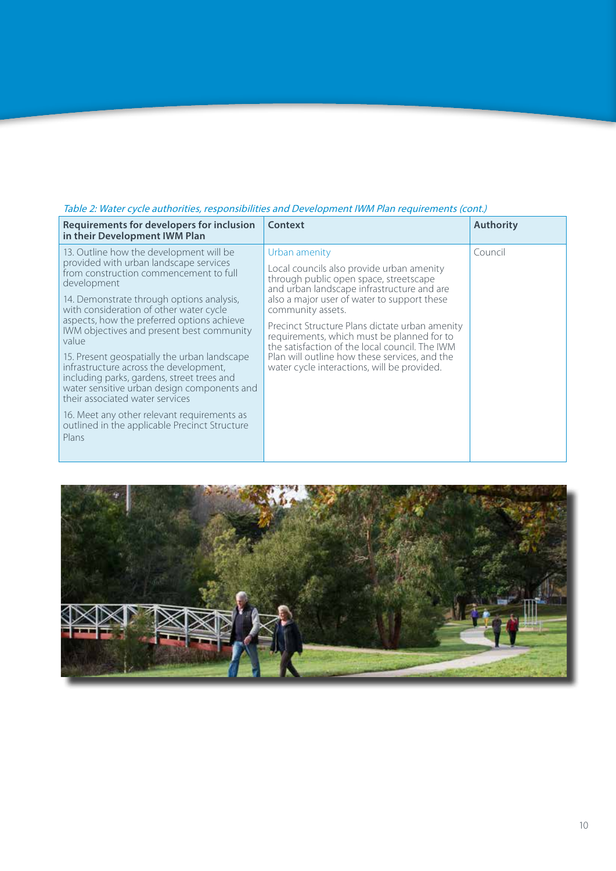#### Table 2: Water cycle authorities, responsibilities and Development IWM Plan requirements (cont.)

| Requirements for developers for inclusion<br>in their Development IWM Plan                                                                                                                                                                                                                                                                                                                                                                                                                                                                                                                                                                                                | Context                                                                                                                                                                                                                                                                                                                                                                                                                                                                  | <b>Authority</b> |
|---------------------------------------------------------------------------------------------------------------------------------------------------------------------------------------------------------------------------------------------------------------------------------------------------------------------------------------------------------------------------------------------------------------------------------------------------------------------------------------------------------------------------------------------------------------------------------------------------------------------------------------------------------------------------|--------------------------------------------------------------------------------------------------------------------------------------------------------------------------------------------------------------------------------------------------------------------------------------------------------------------------------------------------------------------------------------------------------------------------------------------------------------------------|------------------|
| 13. Outline how the development will be<br>provided with urban landscape services<br>from construction commencement to full<br>development<br>14. Demonstrate through options analysis,<br>with consideration of other water cycle<br>aspects, how the preferred options achieve<br>IWM objectives and present best community<br>value<br>15. Present geospatially the urban landscape<br>infrastructure across the development,<br>including parks, gardens, street trees and<br>water sensitive urban design components and<br>their associated water services<br>16. Meet any other relevant requirements as<br>outlined in the applicable Precinct Structure<br>Plans | Urban amenity<br>Local councils also provide urban amenity<br>through public open space, streetscape<br>and urban landscape infrastructure and are<br>also a major user of water to support these<br>community assets.<br>Precinct Structure Plans dictate urban amenity<br>requirements, which must be planned for to<br>the satisfaction of the local council. The IWM<br>Plan will outline how these services, and the<br>water cycle interactions, will be provided. | Council          |

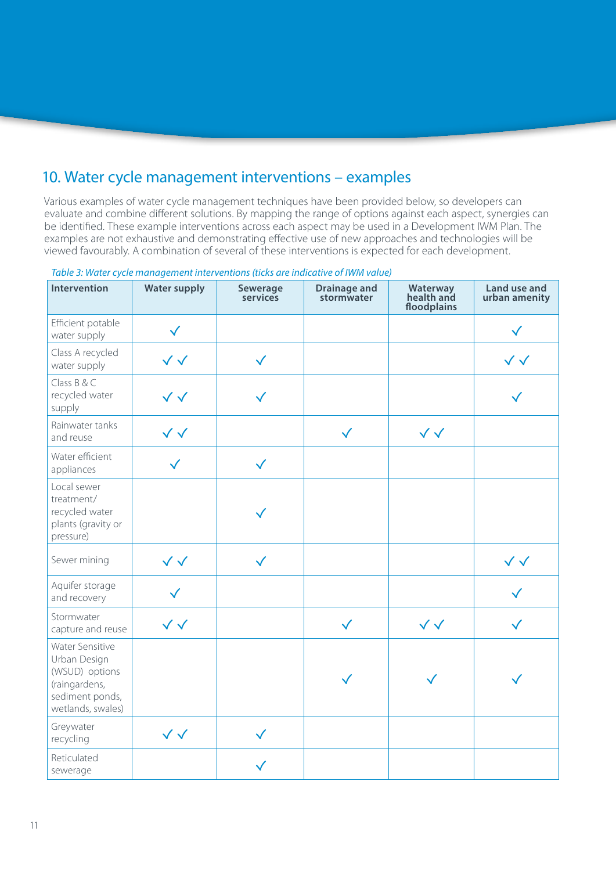# 10. Water cycle management interventions – examples

Various examples of water cycle management techniques have been provided below, so developers can evaluate and combine different solutions. By mapping the range of options against each aspect, synergies can be identified. These example interventions across each aspect may be used in a Development IWM Plan. The examples are not exhaustive and demonstrating effective use of new approaches and technologies will be viewed favourably. A combination of several of these interventions is expected for each development.

| Intervention                                                                                                      | <b>Water supply</b> | Sewerage<br>services | <b>Drainage and</b><br>stormwater | Waterway<br>health and<br>floodplains | Land use and<br>urban amenity |
|-------------------------------------------------------------------------------------------------------------------|---------------------|----------------------|-----------------------------------|---------------------------------------|-------------------------------|
| Efficient potable<br>water supply                                                                                 | $\checkmark$        |                      |                                   |                                       | $\checkmark$                  |
| Class A recycled<br>water supply                                                                                  | $\checkmark$        | $\checkmark$         |                                   |                                       | $\checkmark$                  |
| Class B & C<br>recycled water<br>supply                                                                           | $\checkmark$        |                      |                                   |                                       |                               |
| Rainwater tanks<br>and reuse                                                                                      | $\checkmark$        |                      | $\checkmark$                      | $\checkmark$                          |                               |
| Water efficient<br>appliances                                                                                     | $\checkmark$        | $\checkmark$         |                                   |                                       |                               |
| Local sewer<br>treatment/<br>recycled water<br>plants (gravity or<br>pressure)                                    |                     | $\checkmark$         |                                   |                                       |                               |
| Sewer mining                                                                                                      | $\checkmark$        | $\checkmark$         |                                   |                                       | $\checkmark$                  |
| Aquifer storage<br>and recovery                                                                                   | $\checkmark$        |                      |                                   |                                       |                               |
| Stormwater<br>capture and reuse                                                                                   | $\checkmark$        |                      | $\checkmark$                      | $\checkmark$                          | $\checkmark$                  |
| <b>Water Sensitive</b><br>Urban Design<br>(WSUD) options<br>(raingardens,<br>sediment ponds,<br>wetlands, swales) |                     |                      | $\checkmark$                      | $\checkmark$                          | $\checkmark$                  |
| Greywater<br>recycling                                                                                            | $\checkmark$        | $\checkmark$         |                                   |                                       |                               |
| Reticulated<br>sewerage                                                                                           |                     |                      |                                   |                                       |                               |

*Table 3: Water cycle management interventions (ticks are indicative of IWM value)*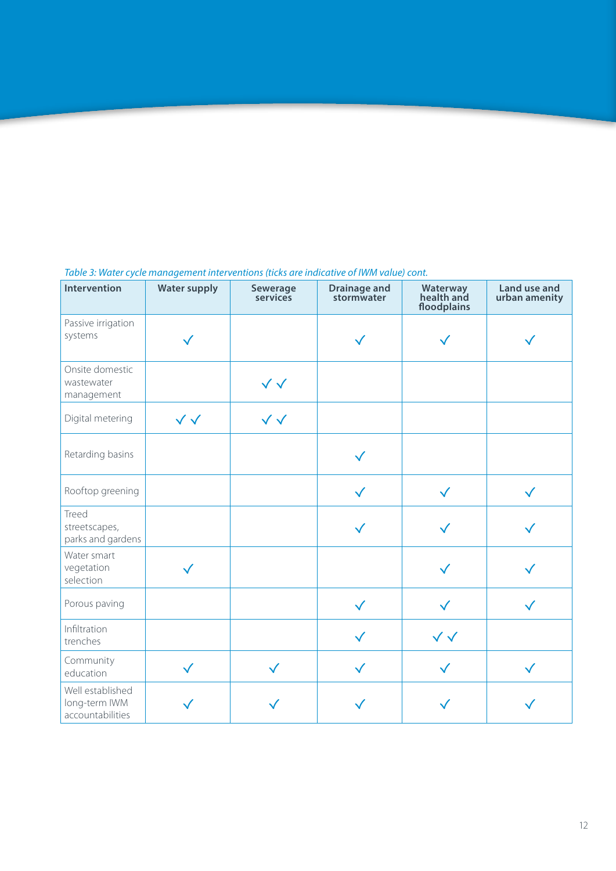| Intervention                                          | <b>Water supply</b> | Sewerage<br>services | <b>Drainage and<br/>stormwater</b> | Waterway<br>health and<br>floodplains | Land use and<br>urban amenity |
|-------------------------------------------------------|---------------------|----------------------|------------------------------------|---------------------------------------|-------------------------------|
| Passive irrigation<br>systems                         | $\checkmark$        |                      |                                    |                                       |                               |
| Onsite domestic<br>wastewater<br>management           |                     | $\checkmark$         |                                    |                                       |                               |
| Digital metering                                      | $\checkmark$        | $\checkmark$         |                                    |                                       |                               |
| Retarding basins                                      |                     |                      | $\checkmark$                       |                                       |                               |
| Rooftop greening                                      |                     |                      | $\checkmark$                       |                                       | $\checkmark$                  |
| Treed<br>streetscapes,<br>parks and gardens           |                     |                      |                                    |                                       |                               |
| Water smart<br>vegetation<br>selection                | $\checkmark$        |                      |                                    |                                       |                               |
| Porous paving                                         |                     |                      | $\checkmark$                       |                                       |                               |
| Infiltration<br>trenches                              |                     |                      |                                    | $\checkmark$                          |                               |
| Community<br>education                                | $\checkmark$        | $\checkmark$         | $\checkmark$                       |                                       | $\checkmark$                  |
| Well established<br>long-term IWM<br>accountabilities |                     |                      |                                    |                                       |                               |

#### *Table 3: Water cycle management interventions (ticks are indicative of IWM value) cont.*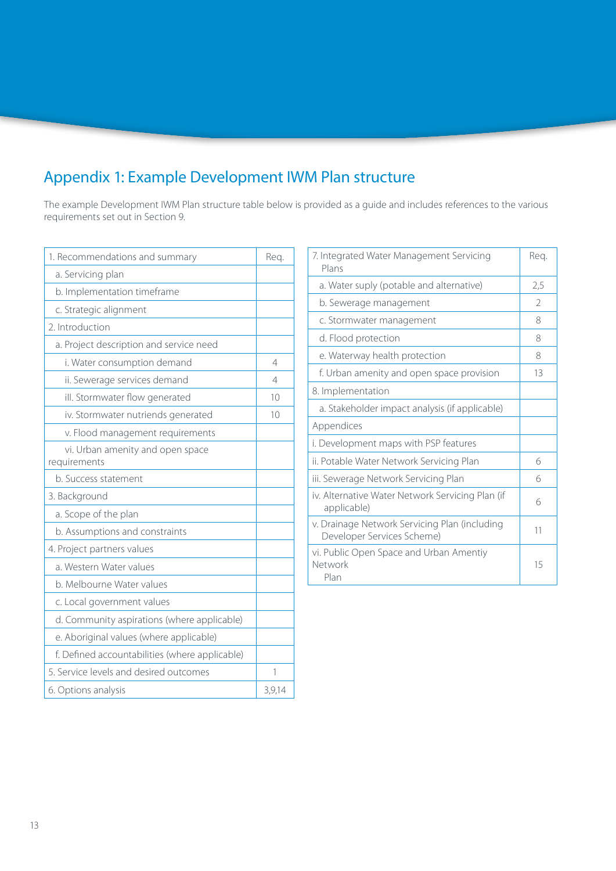# Appendix 1: Example Development IWM Plan structure

The example Development IWM Plan structure table below is provided as a guide and includes references to the various requirements set out in Section 9.

| 1. Recommendations and summary                   | Reg.           |
|--------------------------------------------------|----------------|
| a. Servicing plan                                |                |
| b. Implementation timeframe                      |                |
| c. Strategic alignment                           |                |
| 2. Introduction                                  |                |
| a. Project description and service need          |                |
| i. Water consumption demand                      | 4              |
| ii. Sewerage services demand                     | $\overline{4}$ |
| ill. Stormwater flow generated                   | 10             |
| iv. Stormwater nutriends generated               | 10             |
| v. Flood management requirements                 |                |
| vi. Urban amenity and open space<br>requirements |                |
| b. Success statement                             |                |
| 3. Background                                    |                |
| a. Scope of the plan                             |                |
| b. Assumptions and constraints                   |                |
| 4. Project partners values                       |                |
| a. Western Water values                          |                |
| b. Melbourne Water values                        |                |
| c. Local government values                       |                |
| d. Community aspirations (where applicable)      |                |
| e. Aboriginal values (where applicable)          |                |
| f. Defined accountabilities (where applicable)   |                |
| 5. Service levels and desired outcomes           | 1              |
| 6. Options analysis                              | 3,9,14         |

| 7. Integrated Water Management Servicing<br>Plans                           | Reg.           |
|-----------------------------------------------------------------------------|----------------|
| a. Water suply (potable and alternative)                                    | 2,5            |
| b. Sewerage management                                                      | $\overline{2}$ |
| c. Stormwater management                                                    | 8              |
| d. Flood protection                                                         | 8              |
| e. Waterway health protection                                               | 8              |
| f. Urban amenity and open space provision                                   | 13             |
| 8. Implementation                                                           |                |
| a. Stakeholder impact analysis (if applicable)                              |                |
| Appendices                                                                  |                |
| i. Development maps with PSP features                                       |                |
| ii. Potable Water Network Servicing Plan                                    | 6              |
| iii. Sewerage Network Servicing Plan                                        | 6              |
| iv. Alternative Water Network Servicing Plan (if<br>applicable)             | 6              |
| v. Drainage Network Servicing Plan (including<br>Developer Services Scheme) | 11             |
| vi. Public Open Space and Urban Amentiy<br>Network<br>Plan                  | 15             |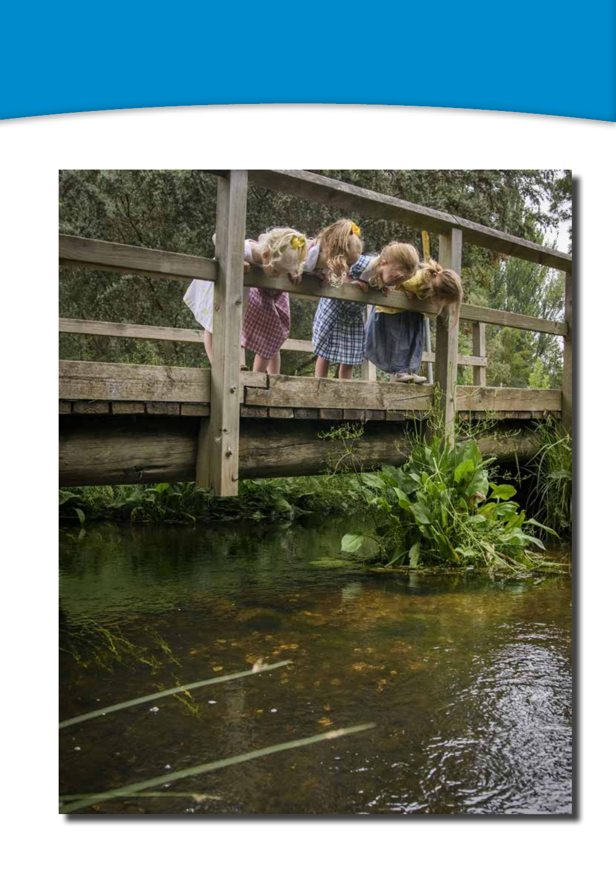